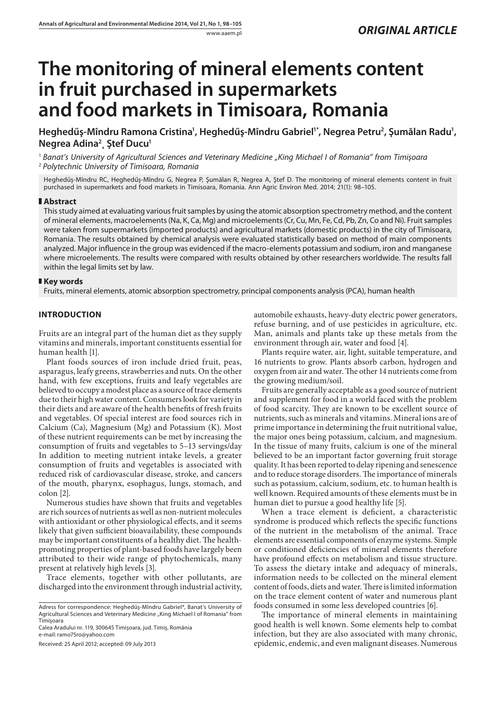# **The monitoring of mineral elements content in fruit purchased in supermarkets and food markets in Timisoara, Romania**

Heghedűş-Mîndru Ramona Cristina<sup>ı</sup>, Heghedűş-Mîndru Gabriel<sup>ı\*</sup>, Negrea Petru<sup>2</sup>, Şumălan Radu<sup>ı</sup>, **Negrea Adina2 ¸ Ştef Ducu1**

<sup>1</sup> *Banat's University of Agricultural Sciences and Veterinary Medicine "King Michael I of Romania" from Timişoara* <sup>2</sup> *Polytechnic University of Timisoara, Romania*

Heghedűş-Mîndru RC, Heghedűş-Mîndru G, Negrea P, Şumălan R, Negrea A, Ştef D. The monitoring of mineral elements content in fruit purchased in supermarkets and food markets in Timisoara, Romania. Ann Agric Environ Med. 2014; 21(1): 98–105.

## **Abstract**

This study aimed at evaluating various fruit samples by using the atomic absorption spectrometry method, and the content of mineral elements, macroelements (Na, K, Ca, Mg) and microelements (Cr, Cu, Mn, Fe, Cd, Pb, Zn, Co and Ni). Fruit samples were taken from supermarkets (imported products) and agricultural markets (domestic products) in the city of Timisoara, Romania. The results obtained by chemical analysis were evaluated statistically based on method of main components analyzed. Major influence in the group was evidenced if the macro-elements potassium and sodium, iron and manganese where microelements. The results were compared with results obtained by other researchers worldwide. The results fall within the legal limits set by law.

# **Key words**

Fruits, mineral elements, atomic absorption spectrometry, principal components analysis (PCA), human health

# **INTRODUCTION**

Fruits are an integral part of the human diet as they supply vitamins and minerals, important constituents essential for human health [1].

Plant foods sources of iron include dried fruit, peas, asparagus, leafy greens, strawberries and nuts. On the other hand, with few exceptions, fruits and leafy vegetables are believed to occupy a modest place as a source of trace elements due to their high water content. Consumers look for variety in their diets and are aware of the health benefits of fresh fruits and vegetables. Of special interest are food sources rich in Calcium (Ca), Magnesium (Mg) and Potassium (K). Most of these nutrient requirements can be met by increasing the consumption of fruits and vegetables to 5–13 servings/day In addition to meeting nutrient intake levels, a greater consumption of fruits and vegetables is associated with reduced risk of cardiovascular disease, stroke, and cancers of the mouth, pharynx, esophagus, lungs, stomach, and colon [2].

Numerous studies have shown that fruits and vegetables are rich sources of nutrients as well as non-nutrient molecules with antioxidant or other physiological effects, and it seems likely that given sufficient bioavailability, these compounds may be important constituents of a healthy diet. The healthpromoting properties of plant-based foods have largely been attributed to their wide range of phytochemicals, many present at relatively high levels [3].

Trace elements, together with other pollutants, are discharged into the environment through industrial activity,

Calea Aradului nr. 119, 300645 Timişoara, jud. Timiş, România

e-mail: ramo75ro@yahoo.com

Received: 25 April 2012; accepted: 09 July 2013

automobile exhausts, heavy-duty electric power generators, refuse burning, and of use pesticides in agriculture, etc. Man, animals and plants take up these metals from the environment through air, water and food [4].

Plants require water, air, light, suitable temperature, and 16 nutrients to grow. Plants absorb carbon, hydrogen and oxygen from air and water. The other 14 nutrients come from the growing medium/soil.

Fruits are generally acceptable as a good source of nutrient and supplement for food in a world faced with the problem of food scarcity. They are known to be excellent source of nutrients, such as minerals and vitamins. Mineral ions are of prime importance in determining the fruit nutritional value, the major ones being potassium, calcium, and magnesium. In the tissue of many fruits, calcium is one of the mineral believed to be an important factor governing fruit storage quality. It has been reported to delay ripening and senescence and to reduce storage disorders. The importance of minerals such as potassium, calcium, sodium, etc. to human health is well known. Required amounts of these elements must be in human diet to pursue a good healthy life [5].

When a trace element is deficient, a characteristic syndrome is produced which reflects the specific functions of the nutrient in the metabolism of the animal. Trace elements are essential components of enzyme systems. Simple or conditioned deficiencies of mineral elements therefore have profound effects on metabolism and tissue structure. To assess the dietary intake and adequacy of minerals, information needs to be collected on the mineral element content of foods, diets and water. There is limited information on the trace element content of water and numerous plant foods consumed in some less developed countries [6].

The importance of mineral elements in maintaining good health is well known. Some elements help to combat infection, but they are also associated with many chronic, epidemic, endemic, and even malignant diseases. Numerous

Adress for correspondence: Heghedűş-Mîndru Gabriel\*, Banat's University of Agricultural Sciences and Veterinary Medicine "King Michael I of Romania" from Timişoara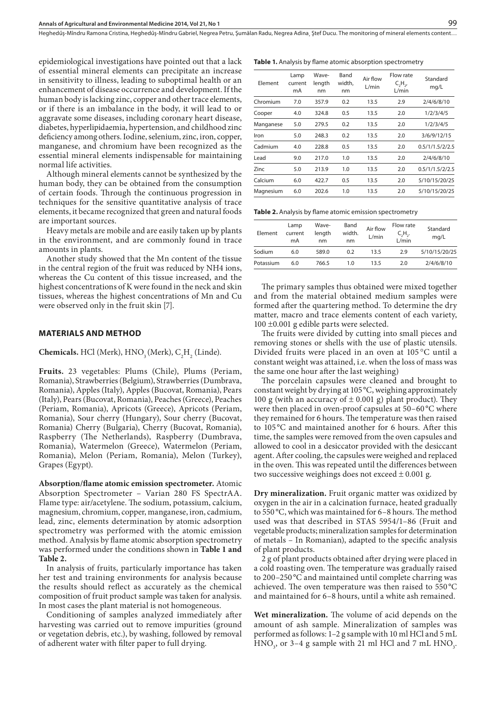epidemiological investigations have pointed out that a lack of essential mineral elements can precipitate an increase in sensitivity to illness, leading to suboptimal health or an enhancement of disease occurrence and development. If the human body is lacking zinc, copper and other trace elements, or if there is an imbalance in the body, it will lead to or aggravate some diseases, including coronary heart disease, diabetes, hyperlipidaemia, hypertension, and childhood zinc deficiency among others. Iodine, selenium, zinc, iron, copper, manganese, and chromium have been recognized as the essential mineral elements indispensable for maintaining normal life activities.

Although mineral elements cannot be synthesized by the human body, they can be obtained from the consumption of certain foods. Through the continuous progression in techniques for the sensitive quantitative analysis of trace elements, it became recognized that green and natural foods are important sources.

Heavy metals are mobile and are easily taken up by plants in the environment, and are commonly found in trace amounts in plants.

Another study showed that the Mn content of the tissue in the central region of the fruit was reduced by NH4 ions, whereas the Cu content of this tissue increased, and the highest concentrations of K were found in the neck and skin tissues, whereas the highest concentrations of Mn and Cu were observed only in the fruit skin [7].

### **MATERIALS AND METHOD**

**Chemicals.** HCl (Merk),  $HNO<sub>3</sub>$  (Merk),  $C<sub>2</sub>H<sub>2</sub>$  (Linde).

**Fruits.** 23 vegetables: Plums (Chile), Plums (Periam, Romania), Strawberries (Belgium), Strawberries (Dumbrava, Romania), Apples (Italy), Apples (Bucovat, Romania), Pears (Italy), Pears (Bucovat, Romania), Peaches (Greece), Peaches (Periam, Romania), Apricots (Greece), Apricots (Periam, Romania), Sour cherry (Hungary), Sour cherry (Bucovat, Romania) Cherry (Bulgaria), Cherry (Bucovat, Romania), Raspberry (The Netherlands), Raspberry (Dumbrava, Romania), Watermelon (Greece), Watermelon (Periam, Romania), Melon (Periam, Romania), Melon (Turkey), Grapes (Egypt).

**Absorption/flame atomic emission spectrometer.** Atomic Absorption Spectrometer – Varian 280 FS SpectrAA. Flame type: air/acetylene. The sodium, potassium, calcium, magnesium, chromium, copper, manganese, iron, cadmium, lead, zinc, elements determination by atomic adsorption spectrometry was performed with the atomic emission method. Analysis by flame atomic absorption spectrometry was performed under the conditions shown in **Table 1 and Table 2.**

In analysis of fruits, particularly importance has taken her test and training environments for analysis because the results should reflect as accurately as the chemical composition of fruit product sample was taken for analysis. In most cases the plant material is not homogeneous.

Conditioning of samples analyzed immediately after harvesting was carried out to remove impurities (ground or vegetation debris, etc.), by washing, followed by removal of adherent water with filter paper to full drying.

#### **Table 1.** Analysis by flame atomic absorption spectrometry

| Element   | Lamp<br>current<br>mA | Wave-<br>length<br>nm | Band<br>width,<br>nm | Air flow<br>L/min | Flow rate<br>$C_2H_{21}$<br>L/min | Standard<br>mq/L |  |  |
|-----------|-----------------------|-----------------------|----------------------|-------------------|-----------------------------------|------------------|--|--|
| Chromium  | 7.0                   | 357.9                 | 0.2                  | 13.5              | 2.9                               | 2/4/6/8/10       |  |  |
| Cooper    | 4.0                   | 324.8                 | 0.5                  | 13.5              | 2.0                               | 1/2/3/4/5        |  |  |
| Manganese | 5.0                   | 279.5                 | 0.2                  | 13.5              | 2.0                               | 1/2/3/4/5        |  |  |
| Iron      | 5.0                   | 248.3                 | 0.2                  | 13.5              | 2.0                               | 3/6/9/12/15      |  |  |
| Cadmium   | 4.0                   | 228.8                 | 0.5                  | 13.5              | 2.0                               | 0.5/1/1.5/2/2.5  |  |  |
| Lead      | 9.0                   | 217.0                 | 1.0                  | 13.5              | 2.0                               | 2/4/6/8/10       |  |  |
| Zinc      | 5.0                   | 213.9                 | 1.0                  | 13.5              | 2.0                               | 0.5/1/1.5/2/2.5  |  |  |
| Calcium   | 6.0                   | 422.7                 | 0.5                  | 13.5              | 2.0                               | 5/10/15/20/25    |  |  |
| Magnesium | 6.0                   | 202.6                 | 1.0                  | 13.5              | 2.0                               | 5/10/15/20/25    |  |  |

**Table 2.** Analysis by flame atomic emission spectrometry

| Element   | Lamp<br>current<br>mA | Wave-<br>length<br>nm | Band<br>width.<br>nm | Air flow<br>L/min | Flow rate<br>$C_2H_2$<br>L/min | Standard<br>mq/L |  |  |
|-----------|-----------------------|-----------------------|----------------------|-------------------|--------------------------------|------------------|--|--|
| Sodium    | 6.0                   | 589.0                 | 0.2                  | 13.5              | 2.9                            | 5/10/15/20/25    |  |  |
| Potassium | 6.0                   | 766.5                 | 1.0                  | 13.5              | 2.0                            | 2/4/6/8/10       |  |  |

The primary samples thus obtained were mixed together and from the material obtained medium samples were formed after the quartering method. To determine the dry matter, macro and trace elements content of each variety, 100 ±0.001 g edible parts were selected.

The fruits were divided by cutting into small pieces and removing stones or shells with the use of plastic utensils. Divided fruits were placed in an oven at 105 °C until a constant weight was attained, i.e. when the loss of mass was the same one hour after the last weighing)

The porcelain capsules were cleaned and brought to constant weight by drying at 105°C, weighing approximately 100 g (with an accuracy of  $\pm$  0.001 g) plant product). They were then placed in oven-proof capsules at 50–60 °C where they remained for 6 hours. The temperature was then raised to 105 °C and maintained another for 6 hours. After this time, the samples were removed from the oven capsules and allowed to cool in a desiccator provided with the desiccant agent. After cooling, the capsules were weighed and replaced in the oven. This was repeated until the differences between two successive weighings does not exceed  $\pm$  0.001 g.

**Dry mineralization.** Fruit organic matter was oxidized by oxygen in the air in a calcination furnace, heated gradually to 550 °C, which was maintained for 6–8 hours. The method used was that described in STAS 5954/1–86 (Fruit and vegetable products; mineralization samples for determination of metals – In Romanian), adapted to the specific analysis of plant products.

2 g of plant products obtained after drying were placed in a cold roasting oven. The temperature was gradually raised to 200–250 °C and maintained until complete charring was achieved. The oven temperature was then raised to 550 °C and maintained for 6–8 hours, until a white ash remained.

**Wet mineralization.** The volume of acid depends on the amount of ash sample. Mineralization of samples was performed as follows: 1–2 g sample with 10 ml HCl and 5 mL  $HNO<sub>3</sub>$ , or 3–4 g sample with 21 ml HCl and 7 mL  $HNO<sub>3</sub>$ .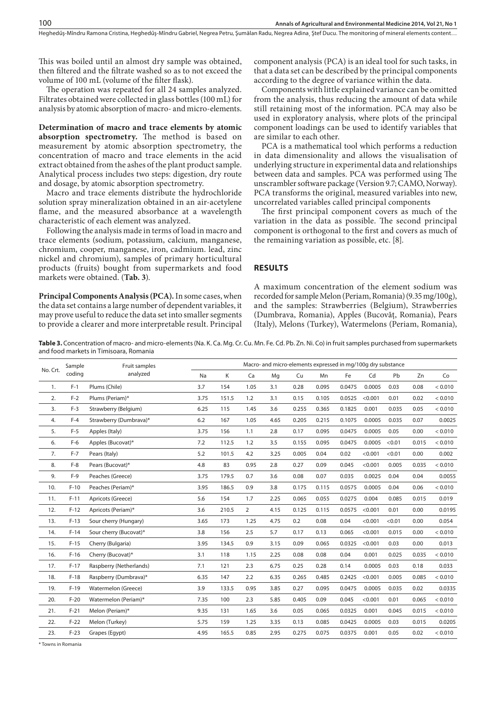This was boiled until an almost dry sample was obtained, then filtered and the filtrate washed so as to not exceed the volume of 100 mL (volume of the filter flask).

The operation was repeated for all 24 samples analyzed. Filtrates obtained were collected in glass bottles (100 mL) for analysis by atomic absorption of macro- and micro-elements.

**Determination of macro and trace elements by atomic absorption spectrometry.** The method is based on measurement by atomic absorption spectrometry, the concentration of macro and trace elements in the acid extract obtained from the ashes of the plant product sample. Analytical process includes two steps: digestion, dry route and dosage, by atomic absorption spectrometry.

Macro and trace elements distribute the hydrochloride solution spray mineralization obtained in an air-acetylene flame, and the measured absorbance at a wavelength characteristic of each element was analyzed.

Following the analysis made in terms of load in macro and trace elements (sodium, potassium, calcium, manganese, chromium, cooper, manganese, iron, cadmium. lead, zinc nickel and chromium), samples of primary horticultural products (fruits) bought from supermarkets and food markets were obtained. (**Tab. 3**).

**Principal Components Analysis (PCA).**In some cases, when the data set contains a large number of dependent variables, it may prove useful to reduce the data set into smaller segments to provide a clearer and more interpretable result. Principal component analysis (PCA) is an ideal tool for such tasks, in that a data set can be described by the principal components according to the degree of variance within the data.

Components with little explained variance can be omitted from the analysis, thus reducing the amount of data while still retaining most of the information. PCA may also be used in exploratory analysis, where plots of the principal component loadings can be used to identify variables that are similar to each other.

PCA is a mathematical tool which performs a reduction in data dimensionality and allows the visualisation of underlying structure in experimental data and relationships between data and samples. PCA was performed using The unscrambler software package (Version 9.7; CAMO, Norway). PCA transforms the original, measured variables into new, uncorrelated variables called principal components

The first principal component covers as much of the variation in the data as possible. The second principal component is orthogonal to the first and covers as much of the remaining variation as possible, etc. [8].

#### **RESULTS**

A maximum concentration of the element sodium was recorded for sample Melon (Periam, Romania) (9.35 mg/100g), and the samples: Strawberries (Belgium), Strawberries (Dumbrava, Romania), Apples (Bucovăţ, Romania), Pears (Italy), Melons (Turkey), Watermelons (Periam, Romania),

**Table 3.** Concentration of macro- and micro-elements (Na. K. Ca. Mg. Cr. Cu. Mn. Fe. Cd. Pb. Zn. Ni. Co) in fruit samples purchased from supermarkets and food markets in Timisoara, Romania

| Sample<br>No. Crt.<br>coding |          | Fruit samples           | Macro- and micro-elements expressed in mg/100g dry substance |       |      |      |       |       |        |         |        |       |         |
|------------------------------|----------|-------------------------|--------------------------------------------------------------|-------|------|------|-------|-------|--------|---------|--------|-------|---------|
|                              | analyzed | Na                      | Κ                                                            | Ca    | Mg   | Cu   | Mn    | Fe    | Cd     | Pb      | Zn     | Co    |         |
| 1.                           | $F-1$    | Plums (Chile)           | 3.7                                                          | 154   | 1.05 | 3.1  | 0.28  | 0.095 | 0.0475 | 0.0005  | 0.03   | 0.08  | < 0.010 |
| 2.                           | $F-2$    | Plums (Periam)*         | 3.75                                                         | 151.5 | 1.2  | 3.1  | 0.15  | 0.105 | 0.0525 | < 0.001 | 0.01   | 0.02  | < 0.010 |
| 3.                           | $F-3$    | Strawberry (Belgium)    | 6.25                                                         | 115   | 1.45 | 3.6  | 0.255 | 0.365 | 0.1825 | 0.001   | 0.035  | 0.05  | < 0.010 |
| 4.                           | $F-4$    | Strawberry (Dumbrava)*  | 6.2                                                          | 167   | 1.05 | 4.65 | 0.205 | 0.215 | 0.1075 | 0.0005  | 0.035  | 0.07  | 0.0025  |
| 5.                           | $F-5$    | Apples (Italy)          | 3.75                                                         | 156   | 1.1  | 2.8  | 0.17  | 0.095 | 0.0475 | 0.0005  | 0.05   | 0.00  | < 0.010 |
| 6.                           | $F-6$    | Apples (Bucovat)*       | 7.2                                                          | 112.5 | 1.2  | 3.5  | 0.155 | 0.095 | 0.0475 | 0.0005  | < 0.01 | 0.015 | < 0.010 |
| 7.                           | $F-7$    | Pears (Italy)           | 5.2                                                          | 101.5 | 4.2  | 3.25 | 0.005 | 0.04  | 0.02   | < 0.001 | < 0.01 | 0.00  | 0.002   |
| 8.                           | $F-8$    | Pears (Bucovat)*        | 4.8                                                          | 83    | 0.95 | 2.8  | 0.27  | 0.09  | 0.045  | < 0.001 | 0.005  | 0.035 | < 0.010 |
| 9.                           | $F-9$    | Peaches (Greece)        | 3.75                                                         | 179.5 | 0.7  | 3.6  | 0.08  | 0.07  | 0.035  | 0.0025  | 0.04   | 0.04  | 0.0055  |
| 10.                          | $F-10$   | Peaches (Periam)*       | 3.95                                                         | 186.5 | 0.9  | 3.8  | 0.175 | 0.115 | 0.0575 | 0.0005  | 0.04   | 0.06  | < 0.010 |
| 11.                          | $F-11$   | Apricots (Greece)       | 5.6                                                          | 154   | 1.7  | 2.25 | 0.065 | 0.055 | 0.0275 | 0.004   | 0.085  | 0.015 | 0.019   |
| 12.                          | $F-12$   | Apricots (Periam)*      | 3.6                                                          | 210.5 | 2    | 4.15 | 0.125 | 0.115 | 0.0575 | < 0.001 | 0.01   | 0.00  | 0.0195  |
| 13.                          | $F-13$   | Sour cherry (Hungary)   | 3.65                                                         | 173   | 1.25 | 4.75 | 0.2   | 0.08  | 0.04   | < 0.001 | < 0.01 | 0.00  | 0.054   |
| 14.                          | $F-14$   | Sour cherry (Bucovat)*  | 3.8                                                          | 156   | 2.5  | 5.7  | 0.17  | 0.13  | 0.065  | < 0.001 | 0.015  | 0.00  | < 0.010 |
| 15.                          | $F-15$   | Cherry (Bulgaria)       | 3.95                                                         | 134.5 | 0.9  | 3.15 | 0.09  | 0.065 | 0.0325 | < 0.001 | 0.03   | 0.00  | 0.013   |
| 16.                          | $F-16$   | Cherry (Bucovat)*       | 3.1                                                          | 118   | 1.15 | 2.25 | 0.08  | 0.08  | 0.04   | 0.001   | 0.025  | 0.035 | < 0.010 |
| 17.                          | $F-17$   | Raspberry (Netherlands) | 7.1                                                          | 121   | 2.3  | 6.75 | 0.25  | 0.28  | 0.14   | 0.0005  | 0.03   | 0.18  | 0.033   |
| 18.                          | $F-18$   | Raspberry (Dumbrava)*   | 6.35                                                         | 147   | 2.2  | 6.35 | 0.265 | 0.485 | 0.2425 | < 0.001 | 0.005  | 0.085 | < 0.010 |
| 19.                          | $F-19$   | Watermelon (Greece)     | 3.9                                                          | 133.5 | 0.95 | 3.85 | 0.27  | 0.095 | 0.0475 | 0.0005  | 0.035  | 0.02  | 0.0335  |
| 20.                          | $F-20$   | Watermelon (Periam)*    | 7.35                                                         | 100   | 2.3  | 5.85 | 0.405 | 0.09  | 0.045  | < 0.001 | 0.01   | 0.065 | < 0.010 |
| 21.                          | $F-21$   | Melon (Periam)*         | 9.35                                                         | 131   | 1.65 | 3.6  | 0.05  | 0.065 | 0.0325 | 0.001   | 0.045  | 0.015 | < 0.010 |
| 22.                          | $F-22$   | Melon (Turkey)          | 5.75                                                         | 159   | 1.25 | 3.35 | 0.13  | 0.085 | 0.0425 | 0.0005  | 0.03   | 0.015 | 0.0205  |
| 23.                          | $F-23$   | Grapes (Egypt)          | 4.95                                                         | 165.5 | 0.85 | 2.95 | 0.275 | 0.075 | 0.0375 | 0.001   | 0.05   | 0.02  | < 0.010 |

\* Towns in Romania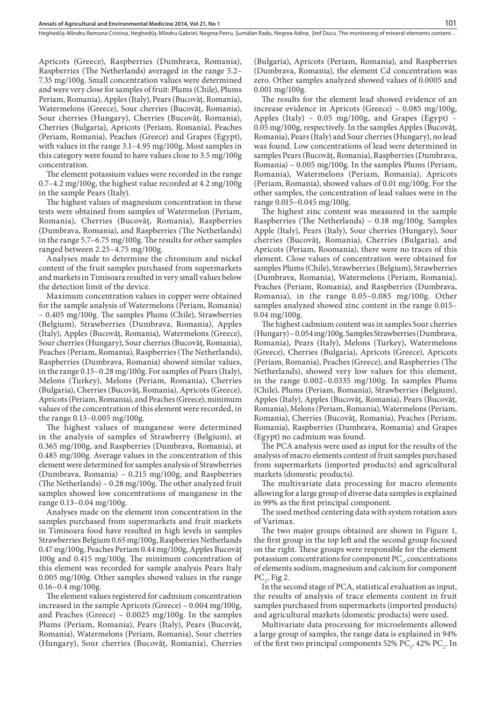Apricots (Greece), Raspberries (Dumbrava, Romania), Raspberries (The Netherlands) averaged in the range 5.2– 7.35 mg/100g. Small concentration values were determined and were very close for samples of fruit: Plums (Chile), Plums Periam, Romania), Apples (Italy), Pears (Bucovăţ, Romania), Watermelons (Greece), Sour cherries (Bucovăţ, Romania), Sour cherries (Hungary), Cherries (Bucovăţ, Romania), Cherries (Bulgaria), Apricots (Periam, Romania), Peaches (Periam, Romania), Peaches (Greece) and Grapes (Egypt), with values in the range 3.1–4.95 mg/100g. Most samples in this category were found to have values close to 3.5 mg/100g concentration.

The element potassium values were recorded in the range 0.7–4.2 mg/100g, the highest value recorded at 4.2 mg/100g in the sample Pears (Italy).

The highest values of magnesium concentration in these tests were obtained from samples of Watermelon (Periam, Romania), Cherries (Bucovăţ, Romania), Raspberries (Dumbrava, Romania), and Raspberries (The Netherlands) in the range 5.7–6.75 mg/100g. The results for other samples ranged between 2.25–4.75 mg/100g.

Analyses made to determine the chromium and nickel content of the fruit samples purchased from supermarkets and markets in Timisoara resulted in very small values below the detection limit of the device.

Maximum concentration values in copper were obtained for the sample analysis of Watermelons (Periam, Romania) – 0.405 mg/100g. The samples Plums (Chile), Strawberries (Belgium), Strawberries (Dumbrava, Romania), Apples (Italy), Apples (Bucovăţ, Romania), Watermelons (Greece), Sour cherries (Hungary), Sour cherries (Bucovăţ, Romania), Peaches (Periam, Romania), Raspberries (The Netherlands), Raspberries (Dumbrava, Romania) showed similar values, in the range 0.15–0.28 mg/100g. For samples of Pears (Italy), Melons (Turkey), Melons (Periam, Romania), Cherries (Bulgaria), Cherries (Bucovăţ, Romania), Apricots (Greece), Apricots (Periam, Romania), and Peaches (Greece), minimum values of the concentration of this element were recorded, in the range 0.13–0.005 mg/100g.

The highest values of manganese were determined in the analysis of samples of Strawberry (Belgium), at 0.365 mg/100g, and Raspberries (Dumbrava, Romania), at 0.485 mg/100g. Average values in the concentration of this element were determined for samples analysis of Strawberries (Dumbrava, Romania) – 0.215 mg/100g, and Raspberries (The Netherlands) – 0.28 mg/100g. The other analyzed fruit samples showed low concentrations of manganese in the range 0.13–0.04 mg/100g.

Analyses made on the element iron concentration in the samples purchased from supermarkets and fruit markets in Timisoara food have resulted in high levels in samples Strawberries Belgium 0.65 mg/100g, Raspberries Netherlands 0.47 mg/100g, Peaches Periam 0.44 mg/100g, Apples Bucovăţ 100g and 0.415 mg/100g. The minimum concentration of this element was recorded for sample analysis Pears Italy 0.005 mg/100g. Other samples showed values in the range 0.16–0.4 mg/100g.

The element values registered for cadmium concentration increased in the sample Apricots (Greece) – 0.004 mg/100g, and Peaches (Greece) – 0.0025 mg/100g. In the samples Plums (Periam, Romania), Pears (Italy), Pears (Bucovăţ, Romania), Watermelons (Periam, Romania), Sour cherries (Hungary), Sour cherries (Bucovăţ, Romania), Cherries

(Bulgaria), Apricots (Periam, Romania), and Raspberries (Dumbrava, Romania), the element Cd concentration was zero. Other samples analyzed showed values of 0.0005 and 0.001 mg/100g.

The results for the element lead showed evidence of an increase evidence in Apricots (Greece) – 0.085 mg/100g, Apples (Italy) – 0.05 mg/100g, and Grapes (Egypt) – 0.05 mg/100g, respectively. In the samples Apples (Bucovăţ, Romania), Pears (Italy) and Sour cherries (Hungary), no lead was found. Low concentrations of lead were determined in samples Pears (Bucovăţ, Romania), Raspberries (Dumbrava, Romania) – 0.005 mg/100g. In the samples Plums (Periam, Romania), Watermelons (Periam, Romania), Apricots (Periam, Romania), showed values of 0.01 mg/100g. For the other samples, the concentration of lead values were in the range 0.015–0.045 mg/100g.

The highest zinc content was measured in the sample Raspberries (The Netherlands) – 0.18 mg/100g. Samples Apple (Italy), Pears (Italy), Sour cherries (Hungary), Sour cherries (Bucovăţ, Romania), Cherries (Bulgaria), and Apricots (Periam, Roomania), there were no traces of this element. Close values of concentration were obtained for samples Plums (Chile), Strawberries (Belgium), Strawberries (Dumbrava, Romania), Watermelons (Periam, Romania), Peaches (Periam, Romania), and Raspberries (Dumbrava, Romania), in the range 0.05–0.085 mg/100g. Other samples analyzed showed zinc content in the range 0.015– 0.04 mg/100g.

The highest cadmium content was in samples Sour cherries (Hungary) – 0.054 mg/100g. Samples Strawberries (Dumbrava, Romania), Pears (Italy), Melons (Turkey), Watermelons (Greece), Cherries (Bulgaria), Apricots (Greece), Apricots (Periam, Romania), Peaches (Greece), and Raspberries (The Netherlands), showed very low values for this element, in the range 0.002–0.0335 mg/100g. In samples Plums (Chile), Plums (Periam, Romania), Strawberries (Belgium), Apples (Italy), Apples (Bucovăţ, Romania), Pears (Bucovăţ, Romania), Melons (Periam, Romania), Watermelons (Periam, Romania), Cherries (Bucovăţ, Romania), Peaches (Periam, Romania), Raspberries (Dumbrava, Romania) and Grapes (Egypt) no cadmium was found.

The PCA analysis were used as input for the results of the analysis of macro elements content of fruit samples purchased from supermarkets (imported products) and agricultural markets (domestic products).

The multivariate data processing for macro elements allowing for a large group of diverse data samples is explained in 99% as the first principal component.

The used method centering data with system rotation axes of Varimax.

The two major groups obtained are shown in Figure 1, the first group in the top left and the second group focused on the right. These groups were responsible for the element potassium concentrations for component  $PC_1$ , concentrations of elements sodium, magnesium and calcium for component  $PC_{2}$ , Fig 2.

In the second stage of PCA, statistical evaluation as input, the results of analysis of trace elements content in fruit samples purchased from supermarkets (imported products) and agricultural markets (domestic products) were used.

Multivariate data processing for microelements allowed a large group of samples, the range data is explained in 94% of the first two principal components 52%  $PC_1$ , 42%  $PC_2$ . In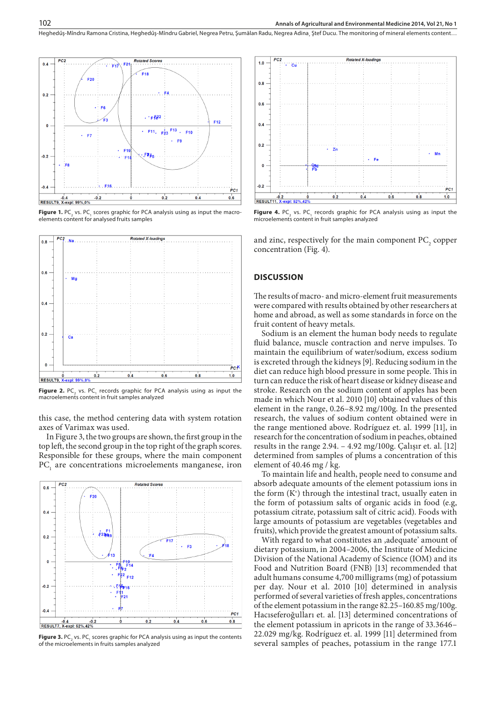

**Figure 1.** PC<sub>2</sub> vs. PC<sub>1</sub> scores graphic for PCA analysis using as input the macroelements content for analysed fruits samples



**Figure 2.** PC<sub>2</sub> vs. PC<sub>1</sub> records graphic for PCA analysis using as input the macroelements content in fruit samples analyzed

this case, the method centering data with system rotation axes of Varimax was used.

In Figure 3, the two groups are shown, the first group in the top left, the second group in the top right of the graph scores. Responsible for these groups, where the main component PC<sub>1</sub> are concentrations microelements manganese, iron



**Figure 3.** PC<sub>2</sub> vs. PC<sub>1</sub> scores graphic for PCA analysis using as input the contents of the microelements in fruits samples analyzed



**Figure 4.** PC<sub>2</sub> vs. PC<sub>1</sub> records graphic for PCA analysis using as input the microelements content in fruit samples analyzed

and zinc, respectively for the main component  $PC_2$  copper concentration (Fig. 4).

# **DISCUSSION**

The results of macro- and micro-element fruit measurements were compared with results obtained by other researchers at home and abroad, as well as some standards in force on the fruit content of heavy metals.

Sodium is an element the human body needs to regulate fluid balance, muscle contraction and nerve impulses. To maintain the equilibrium of water/sodium, excess sodium is excreted through the kidneys [9]. Reducing sodium in the diet can reduce high blood pressure in some people. This in turn can reduce the risk of heart disease or kidney disease and stroke. Research on the sodium content of apples has been made in which Nour et al. 2010 [10] obtained values of this element in the range, 0.26–8.92 mg/100g. In the presented research, the values of sodium content obtained were in the range mentioned above. Rodríguez et. al. 1999 [11], in research for the concentration of sodium in peaches, obtained results in the range 2.94. – 4.92 mg/100g. Çalışır et. al. [12] determined from samples of plums a concentration of this element of 40.46 mg / kg.

To maintain life and health, people need to consume and absorb adequate amounts of the element potassium ions in the form  $(K^+)$  through the intestinal tract, usually eaten in the form of potassium salts of organic acids in food (e.g, potassium citrate, potassium salt of citric acid). Foods with large amounts of potassium are vegetables (vegetables and fruits), which provide the greatest amount of potassium salts.

With regard to what constitutes an , adequate' amount of dietary potassium, in 2004–2006, the Institute of Medicine Division of the National Academy of Science (IOM) and its Food and Nutrition Board (FNB) [13] recommended that adult humans consume 4,700 milligrams (mg) of potassium per day. Nour et al. 2010 [10] determined in analysis performed of several varieties of fresh apples, concentrations of the element potassium in the range 82.25–160.85 mg/100g. Hacıseferoğulları et. al. [13] determined concentrations of the element potassium in apricots in the range of 33.3646– 22.029 mg/kg. Rodríguez et. al. 1999 [11] determined from several samples of peaches, potassium in the range 177.1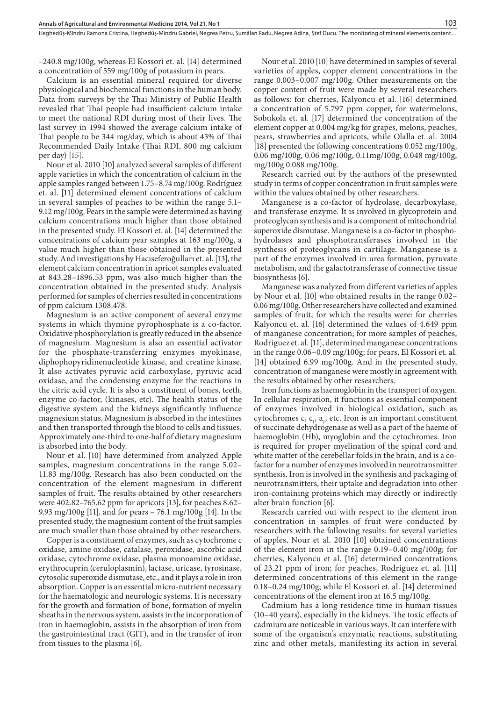–240.8 mg/100g, whereas El Kossori et. al. [14] determined a concentration of 559 mg/100g of potassium in pears.

Calcium is an essential mineral required for diverse physiological and biochemical functions in the human body. Data from surveys by the Thai Ministry of Public Health revealed that Thai people had insufficient calcium intake to meet the national RDI during most of their lives. The last survey in 1994 showed the average calcium intake of Thai people to be 344 mg/day, which is about 43% of Thai Recommended Daily Intake (Thai RDI, 800 mg calcium per day) [15].

Nour et al. 2010 [10] analyzed several samples of different apple varieties in which the concentration of calcium in the apple samples ranged between 1.75–8.74 mg/100g. Rodríguez et. al. [11] determined element concentrations of calcium in several samples of peaches to be within the range 5.1– 9.12 mg/100g. Pears in the sample were determined as having calcium concentrations much higher than those obtained in the presented study. El Kossori et. al. [14] determined the concentrations of calcium pear samples at 163 mg/100g, a value much higher than those obtained in the presented study. And investigations by Hacıseferoğulları et. al. [13], the element calcium concentration in apricot samples evaluated at 843.28–1896.53 ppm, was also much higher than the concentration obtained in the presented study. Analysis performed for samples of cherries resulted in concentrations of ppm calcium 1308.478.

Magnesium is an active component of several enzyme systems in which thymine pyrophosphate is a co-factor. Oxidative phosphorylation is greatly reduced in the absence of magnesium. Magnesium is also an essential activator for the phosphate-transferring enzymes myokinase, diphophopyridinenucleotide kinase, and creatine kinase. It also activates pyruvic acid carboxylase, pyruvic acid oxidase, and the condensing enzyme for the reactions in the citric acid cycle. It is also a constituent of bones, teeth, enzyme co-factor, (kinases, etc). The health status of the digestive system and the kidneys significantly influence magnesium status. Magnesium is absorbed in the intestines and then transported through the blood to cells and tissues. Approximately one-third to one-half of dietary magnesium is absorbed into the body.

Nour et al. [10] have determined from analyzed Apple samples, magnesium concentrations in the range 5.02– 11.83 mg/100g. Research has also been conducted on the concentration of the element magnesium in different samples of fruit. The results obtained by other researchers were 402.82–765.62 ppm for apricots [13], for peaches 8.62– 9.93 mg/100g [11], and for pears – 76.1 mg/100g [14]. In the presented study, the magnesium content of the fruit samples are much smaller than those obtained by other researchers.

Copper is a constituent of enzymes, such as cytochrome c oxidase, amine oxidase, catalase, peroxidase, ascorbic acid oxidase, cytochrome oxidase, plasma monoamine oxidase, erythrocuprin (ceruloplasmin), lactase, uricase, tyrosinase, cytosolic superoxide dismutase, etc., and it plays a role in iron absorption. Copper is an essential micro-nutrient necessary for the haematologic and neurologic systems. It is necessary for the growth and formation of bone, formation of myelin sheaths in the nervous system, assists in the incorporation of iron in haemoglobin, assists in the absorption of iron from the gastrointestinal tract (GIT), and in the transfer of iron from tissues to the plasma [6].

Nour et al. 2010 [10] have determined in samples of several varieties of apples, copper element concentrations in the range 0.003–0.007 mg/100g. Other measurements on the copper content of fruit were made by several researchers as follows: for cherries, Kalyoncu et al. [16] determined a concentration of 5.797 ppm copper, for watermelons, Sobukola et. al. [17] determined the concentration of the element copper at 0.004 mg/kg for grapes, melons, peaches, pears, strawberries and apricots, while Olalla et. al. 2004 [18] presented the following concentrations 0.052 mg/100g, 0.06 mg/100g, 0.06 mg/100g, 0.11mg/100g, 0.048 mg/100g, mg/100g 0.088 mg/100g.

Research carried out by the authors of the presewnted study in terms of copper concentration in fruit samples were within the values obtained by other researchers.

Manganese is a co-factor of hydrolase, decarboxylase, and transferase enzyme. It is involved in glycoprotein and proteoglycan synthesis and is a component of mitochondrial superoxide dismutase. Manganese is a co-factor in phosphohydrolases and phosphotransferases involved in the synthesis of proteoglycans in cartilage. Manganese is a part of the enzymes involved in urea formation, pyruvate metabolism, and the galactotransferase of connective tissue biosynthesis [6].

Manganese was analyzed from different varieties of apples by Nour et al. [10] who obtained results in the range 0.02– 0.06 mg/100g. Other researchers have collected and examined samples of fruit, for which the results were: for cherries Kalyoncu et. al. [16] determined the values of 4.649 ppm of manganese concentration; for more samples of peaches, Rodríguez et. al. [11], determined manganese concentrations in the range 0.06–0.09 mg/100g; for pears, El Kossori et. al. [14] obtained 6.99 mg/100g. And in the presented study, concentration of manganese were mostly in agreement with the results obtained by other researchers.

Iron functions as haemoglobin in the transport of oxygen. In cellular respiration, it functions as essential component of enzymes involved in biological oxidation, such as cytochromes c,  $c_1$ ,  $a_1$ , etc. Iron is an important constituent of succinate dehydrogenase as well as a part of the haeme of haemoglobin (Hb), myoglobin and the cytochromes. Iron is required for proper myelination of the spinal cord and white matter of the cerebellar folds in the brain, and is a cofactor for a number of enzymes involved in neurotransmitter synthesis. Iron is involved in the synthesis and packaging of neurotransmitters, their uptake and degradation into other iron-containing proteins which may directly or indirectly alter brain function [6].

Research carried out with respect to the element iron concentration in samples of fruit were conducted by researchers with the following results: for several varieties of apples, Nour et al. 2010 [10] obtained concentrations of the element iron in the range 0.19–0.40 mg/100g; for cherries, Kalyoncu et al. [16] determined concentrations of 23.21 ppm of iron; for peaches, Rodríguez et. al. [11] determined concentrations of this element in the range 0.18–0.24 mg/100g; while El Kossori et. al. [14] determined concentrations of the element iron at 16.5 mg/100g.

Cadmium has a long residence time in human tissues (10–40 years), especially in the kidneys. The toxic effects of cadmium are noticeable in various ways. It can interfere with some of the organism's enzymatic reactions, substituting zinc and other metals, manifesting its action in several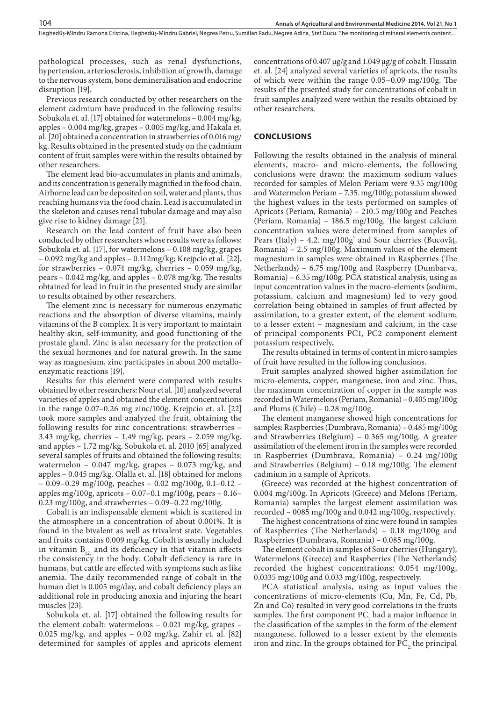pathological processes, such as renal dysfunctions, hypertension, arteriosclerosis, inhibition of growth, damage to the nervous system, bone demineralisation and endocrine disruption [19].

Previous research conducted by other researchers on the element cadmium have produced in the following results: Sobukola et. al. [17] obtained for watermelons – 0.004 mg/kg, apples – 0.004 mg/kg, grapes – 0.005 mg/kg, and Hakala et. al. [20] obtained a concentration in strawberries of 0.016 mg/ kg. Results obtained in the presented study on the cadmium content of fruit samples were within the results obtained by other researchers.

The element lead bio-accumulates in plants and animals, and its concentration is generally magnified in the food chain. Airborne lead can be deposited on soil, water and plants, thus reaching humans via the food chain. Lead is accumulated in the skeleton and causes renal tubular damage and may also give rise to kidney damage [21].

Research on the lead content of fruit have also been conducted by other researchers whose results were as follows: Sobukola et. al. [17], for watermelons – 0.108 mg/kg, grapes – 0.092 mg/kg and apples – 0.112mg/kg; Krejpcio et al. [22], for strawberries –  $0.074$  mg/kg, cherries –  $0.059$  mg/kg, pears – 0.042 mg/kg, and apples – 0.078 mg/kg. The results obtained for lead in fruit in the presented study are similar to results obtained by other researchers.

The element zinc is necessary for numerous enzymatic reactions and the absorption of diverse vitamins, mainly vitamins of the B complex. It is very important to maintain healthy skin, self-immunity, and good functioning of the prostate gland. Zinc is also necessary for the protection of the sexual hormones and for natural growth. In the same way as magnesium, zinc participates in about 200 metalloenzymatic reactions [19].

Results for this element were compared with results obtained by other researchers: Nour et al. [10] analyzed several varieties of apples and obtained the element concentrations in the range 0.07–0.26 mg zinc/100g. Krejpcio et. al. [22] took more samples and analyzed the fruit, obtaining the following results for zinc concentrations: strawberries – 3.43 mg/kg, cherries – 1.49 mg/kg, pears – 2.059 mg/kg, and apples – 1.72 mg/kg. Sobukola et. al. 2010 [65] analyzed several samples of fruits and obtained the following results: watermelon –  $0.047$  mg/kg, grapes –  $0.073$  mg/kg, and apples – 0.045 mg/kg. Olalla et. al. [18] obtained for melons – 0.09–0.29 mg/100g, peaches – 0.02 mg/100g, 0.1–0.12 – apples mg/100g, apricots – 0.07–0.1 mg/100g, pears – 0.16– 0.23 mg/100g, and strawberries – 0.09–0.22 mg/100g.

Cobalt is an indispensable element which is scattered in the atmosphere in a concentration of about 0.001%. It is found in the bivalent as well as trivalent state. Vegetables and fruits contains 0.009 mg/kg. Cobalt is usually included in vitamin  $B_{12}$  and its deficiency in that vitamin affects the consistency in the body. Cobalt deficiency is rare in humans, but cattle are effected with symptoms such as like anemia. The daily recommended range of cobalt in the human diet is 0.005 mg/day, and cobalt deficiency plays an additional role in producing anoxia and injuring the heart muscles [23].

Sobukola et. al. [17] obtained the following results for the element cobalt: watermelons – 0.021 mg/kg, grapes – 0.025 mg/kg, and apples – 0.02 mg/kg. Zahir et. al. [82] determined for samples of apples and apricots element concentrations of 0.407 μg/g and 1.049 μg/g of cobalt. Hussain et. al. [24] analyzed several varieties of apricots, the results of which were within the range 0.05–0.09 mg/100g. The results of the prsented study for concentrations of cobalt in fruit samples analyzed were within the results obtained by other researchers.

# **CONCLUSIONS**

Following the results obtained in the analysis of mineral elements, macro- and micro-elements, the following conclusions were drawn: the maximum sodium values recorded for samples of Melon Periam were 9.35 mg/100g and Watermelon Periam – 7.35. mg/100g; potassium showed the highest values in the tests performed on samples of Apricots (Periam, Romania) – 210.5 mg/100g and Peaches (Periam, Romania) – 186.5 mg/100g. The largest calcium concentration values were determined from samples of Pears (Italy) – 4.2. mg/100g' and Sour cherries (Bucovăţ, Romania) – 2.5 mg/100g. Maximum values of the element magnesium in samples were obtained in Raspberries (The Netherlands) – 6.75 mg/100g and Raspberry (Dumbarva, Romania) – 6.35 mg/100g. PCA statistical analysis, using as input concentration values in the macro-elements (sodium, potassium, calcium and magnesium) led to very good correlation being obtained in samples of fruit affected by assimilation, to a greater extent, of the element sodium; to a lesser extent – magnesium and calcium, in the case of principal components PC1, PC2 component element potassium respectively**.**

The results obtained in terms of content in micro samples of fruit have resulted in the following conclusions.

Fruit samples analyzed showed higher assimilation for micro-elements, copper, manganese, iron and zinc. Thus, the maximum concentration of copper in the sample was recorded in Watermelons (Periam, Romania) – 0.405 mg/100g and Plums (Chile) – 0.28 mg/100g.

The element manganese showed high concentrations for samples: Raspberries (Dumbrava, Romania) – 0.485 mg/100g and Strawberries (Belgium) – 0.365 mg/100g. A greater assimilation of the element iron in the samples were recorded in Raspberries (Dumbrava, Romania) – 0.24 mg/100g and Strawberries (Belgium) – 0.18 mg/100g. The element cadmium in a sample of Apricots.

(Greece) was recorded at the highest concentration of 0.004 mg/100g. In Apricots (Greece) and Melons (Periam, Romania) samples the largest element assimilation was recorded – 0085 mg/100g and 0.042 mg/100g, respectively.

The highest concentrations of zinc were found in samples of Raspberries (The Netherlands) – 0.18 mg/100g and Raspberries (Dumbrava, Romania) – 0.085 mg/100g.

The element cobalt in samples of Sour cherries (Hungary), Watermelons (Greece) and Raspberries (The Netherlands) recorded the highest concentrations: 0.054 mg/100g, 0.0335 mg/100g and 0.033 mg/100g, respectively.

PCA statistical analysis, using as input values the concentrations of micro-elements (Cu, Mn, Fe, Cd, Pb, Zn and Co) resulted in very good correlations in the fruits samples. The first component  $PC_1$  had a major influence in the classification of the samples in the form of the element manganese, followed to a lesser extent by the elements iron and zinc. In the groups obtained for PC<sub>2</sub> the principal